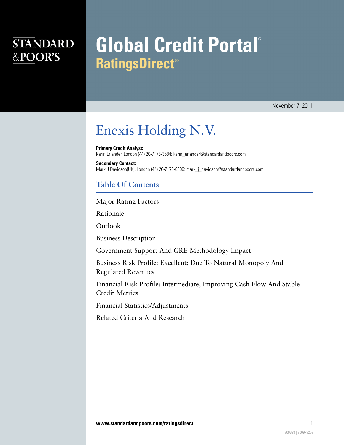## **STANDARD** &POOR'S

# **Global Credit Portal® RatingsDirect<sup>®</sup>**

November 7, 2011

## Enexis Holding N.V.

**Primary Credit Analyst:** Karin Erlander, London (44) 20-7176-3584; karin\_erlander@standardandpoors.com

**Secondary Contact:** Mark J Davidson(UK), London (44) 20-7176-6306; mark\_j\_davidson@standardandpoors.com

## **Table Of Contents**

[Major Rating Factors](#page-1-0)

[Rationale](#page-1-1)

[Outlook](#page-3-0)

[Business Description](#page-3-1)

[Government Support And GRE Methodology Impact](#page-3-2)

[Business Risk Profile: Excellent; Due To Natural Monopoly And](#page-3-3) [Regulated Revenues](#page-3-3)

[Financial Risk Profile: Intermediate; Improving Cash Flow And Stable](#page-4-0) [Credit Metrics](#page-4-0)

[Financial Statistics/Adjustments](#page-5-0)

[Related Criteria And Research](#page-7-0)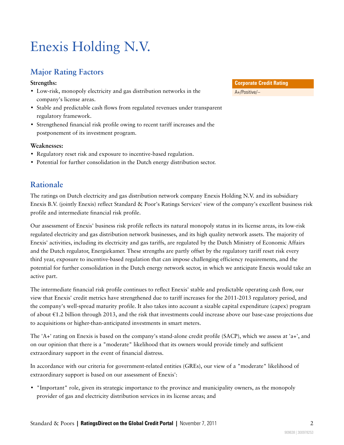## Enexis Holding N.V.

## <span id="page-1-0"></span>**Major Rating Factors**

### **Strengths:**

- Low-risk, monopoly electricity and gas distribution networks in the company's license areas.
- Stable and predictable cash flows from regulated revenues under transparent regulatory framework.
- Strengthened financial risk profile owing to recent tariff increases and the postponement of its investment program.

## **Weaknesses:**

- Regulatory reset risk and exposure to incentive-based regulation.
- <span id="page-1-1"></span>• Potential for further consolidation in the Dutch energy distribution sector.

## **Rationale**

The ratings on Dutch electricity and gas distribution network company Enexis Holding N.V. and its subsidiary Enexis B.V. (jointly Enexis) reflect Standard & Poor's Ratings Services' view of the company's excellent business risk profile and intermediate financial risk profile.

Our assessment of Enexis' business risk profile reflects its natural monopoly status in its license areas, its low-risk regulated electricity and gas distribution network businesses, and its high quality network assets. The majority of Enexis' activities, including its electricity and gas tariffs, are regulated by the Dutch Ministry of Economic Affairs and the Dutch regulator, Energiekamer. These strengths are partly offset by the regulatory tariff reset risk every third year, exposure to incentive-based regulation that can impose challenging efficiency requirements, and the potential for further consolidation in the Dutch energy network sector, in which we anticipate Enexis would take an active part.

The intermediate financial risk profile continues to reflect Enexis' stable and predictable operating cash flow, our view that Enexis' credit metrics have strengthened due to tariff increases for the 2011-2013 regulatory period, and the company's well-spread maturity profile. It also takes into account a sizable capital expenditure (capex) program of about €1.2 billion through 2013, and the risk that investments could increase above our base-case projections due to acquisitions or higher-than-anticipated investments in smart meters.

The 'A+' rating on Enexis is based on the company's stand-alone credit profile (SACP), which we assess at 'a+', and on our opinion that there is a "moderate" likelihood that its owners would provide timely and sufficient extraordinary support in the event of financial distress.

In accordance with our criteria for government-related entities (GREs), our view of a "moderate" likelihood of extraordinary support is based on our assessment of Enexis':

• "Important" role, given its strategic importance to the province and municipality owners, as the monopoly provider of gas and electricity distribution services in its license areas; and

**Corporate Credit Rating** A+/Positive/--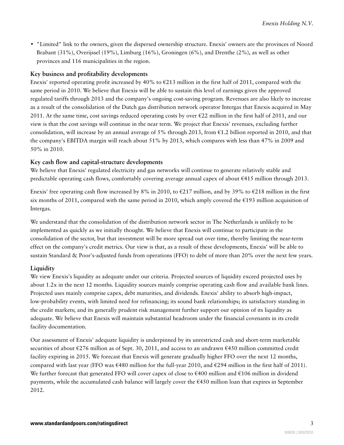• "Limited" link to the owners, given the dispersed ownership structure. Enexis' owners are the provinces of Noord Brabant (31%), Overijssel (19%), Limburg (16%), Groningen (6%), and Drenthe (2%), as well as other provinces and 116 municipalities in the region.

#### **Key business and profitability developments**

Enexis' reported operating profit increased by 40% to  $\epsilon$ 213 million in the first half of 2011, compared with the same period in 2010. We believe that Enexis will be able to sustain this level of earnings given the approved regulated tariffs through 2013 and the company's ongoing cost-saving program. Revenues are also likely to increase as a result of the consolidation of the Dutch gas distribution network operator Intergas that Enexis acquired in May 2011. At the same time, cost savings reduced operating costs by over  $\epsilon$ 22 million in the first half of 2011, and our view is that the cost savings will continue in the near term. We project that Enexis' revenues, excluding further consolidation, will increase by an annual average of 5% through 2013, from €1.2 billion reported in 2010, and that the company's EBITDA margin will reach about 51% by 2013, which compares with less than 47% in 2009 and 50% in 2010.

#### **Key cash flow and capital-structure developments**

We believe that Enexis' regulated electricity and gas networks will continue to generate relatively stable and predictable operating cash flows, comfortably covering average annual capex of about €415 million through 2013.

Enexis' free operating cash flow increased by 8% in 2010, to  $\epsilon$ 217 million, and by 39% to  $\epsilon$ 218 million in the first six months of 2011, compared with the same period in 2010, which amply covered the  $\epsilon$ 193 million acquisition of Intergas.

We understand that the consolidation of the distribution network sector in The Netherlands is unlikely to be implemented as quickly as we initially thought. We believe that Enexis will continue to participate in the consolidation of the sector, but that investment will be more spread out over time, thereby limiting the near-term effect on the company's credit metrics. Our view is that, as a result of these developments, Enexis' will be able to sustain Standard & Poor's-adjusted funds from operations (FFO) to debt of more than 20% over the next few years.

### **Liquidity**

We view Enexis's liquidity as adequate under our criteria. Projected sources of liquidity exceed projected uses by about 1.2x in the next 12 months. Liquidity sources mainly comprise operating cash flow and available bank lines. Projected uses mainly comprise capex, debt maturities, and dividends. Enexis' ability to absorb high-impact, low-probability events, with limited need for refinancing; its sound bank relationships; its satisfactory standing in the credit markets; and its generally prudent risk management further support our opinion of its liquidity as adequate. We believe that Enexis will maintain substantial headroom under the financial covenants in its credit facility documentation.

Our assessment of Enexis' adequate liquidity is underpinned by its unrestricted cash and short-term marketable securities of about €276 million as of Sept. 30, 2011, and access to an undrawn €450 million committed credit facility expiring in 2015. We forecast that Enexis will generate gradually higher FFO over the next 12 months, compared with last year (FFO was  $\epsilon$ 480 million for the full-year 2010, and  $\epsilon$ 294 million in the first half of 2011). We further forecast that generated FFO will cover capex of close to €400 million and €106 million in dividend payments, while the accumulated cash balance will largely cover the €450 million loan that expires in September 2012.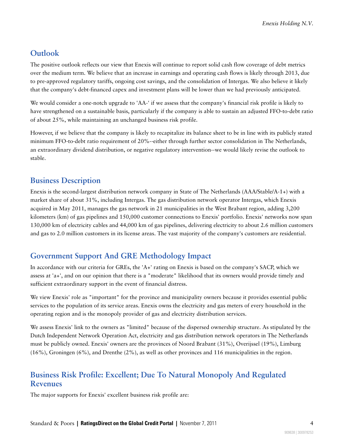## <span id="page-3-0"></span>**Outlook**

The positive outlook reflects our view that Enexis will continue to report solid cash flow coverage of debt metrics over the medium term. We believe that an increase in earnings and operating cash flows is likely through 2013, due to pre-approved regulatory tariffs, ongoing cost savings, and the consolidation of Intergas. We also believe it likely that the company's debt-financed capex and investment plans will be lower than we had previously anticipated.

We would consider a one-notch upgrade to 'AA-' if we assess that the company's financial risk profile is likely to have strengthened on a sustainable basis, particularly if the company is able to sustain an adjusted FFO-to-debt ratio of about 25%, while maintaining an unchanged business risk profile.

However, if we believe that the company is likely to recapitalize its balance sheet to be in line with its publicly stated minimum FFO-to-debt ratio requirement of 20%--either through further sector consolidation in The Netherlands, an extraordinary dividend distribution, or negative regulatory intervention--we would likely revise the outlook to stable.

## <span id="page-3-1"></span>**Business Description**

Enexis is the second-largest distribution network company in State of The Netherlands (AAA/Stable/A-1+) with a market share of about 31%, including Intergas. The gas distribution network operator Intergas, which Enexis acquired in May 2011, manages the gas network in 21 municipalities in the West Brabant region, adding 3,200 kilometers (km) of gas pipelines and 150,000 customer connections to Enexis' portfolio. Enexis' networks now span 130,000 km of electricity cables and 44,000 km of gas pipelines, delivering electricity to about 2.6 million customers and gas to 2.0 million customers in its license areas. The vast majority of the company's customers are residential.

## <span id="page-3-2"></span>**Government Support And GRE Methodology Impact**

In accordance with our criteria for GREs, the 'A+' rating on Enexis is based on the company's SACP, which we assess at 'a+', and on our opinion that there is a "moderate" likelihood that its owners would provide timely and sufficient extraordinary support in the event of financial distress.

We view Enexis' role as "important" for the province and municipality owners because it provides essential public services to the population of its service areas. Enexis owns the electricity and gas meters of every household in the operating region and is the monopoly provider of gas and electricity distribution services.

We assess Enexis' link to the owners as "limited" because of the dispersed ownership structure. As stipulated by the Dutch Independent Network Operation Act, electricity and gas distribution network operators in The Netherlands must be publicly owned. Enexis' owners are the provinces of Noord Brabant (31%), Overijssel (19%), Limburg (16%), Groningen (6%), and Drenthe (2%), as well as other provinces and 116 municipalities in the region.

## <span id="page-3-3"></span>**Business Risk Profile: Excellent; Due To Natural Monopoly And Regulated Revenues**

The major supports for Enexis' excellent business risk profile are: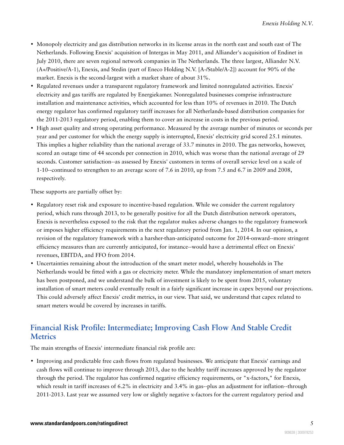- Monopoly electricity and gas distribution networks in its license areas in the north east and south east of The Netherlands. Following Enexis' acquisition of Intergas in May 2011, and Alliander's acquisition of Endinet in July 2010, there are seven regional network companies in The Netherlands. The three largest, Alliander N.V. (A+/Positive/A-1), Enexis, and Stedin (part of Eneco Holding N.V. [A-/Stable/A-2]) account for 90% of the market. Enexis is the second-largest with a market share of about 31%.
- Regulated revenues under a transparent regulatory framework and limited nonregulated activities. Enexis' electricity and gas tariffs are regulated by Energiekamer. Nonregulated businesses comprise infrastructure installation and maintenance activities, which accounted for less than 10% of revenues in 2010. The Dutch energy regulator has confirmed regulatory tariff increases for all Netherlands-based distribution companies for the 2011-2013 regulatory period, enabling them to cover an increase in costs in the previous period.
- High asset quality and strong operating performance. Measured by the average number of minutes or seconds per year and per customer for which the energy supply is interrupted, Enexis' electricity grid scored 25.1 minutes. This implies a higher reliability than the national average of 33.7 minutes in 2010. The gas networks, however, scored an outage time of 44 seconds per connection in 2010, which was worse than the national average of 29 seconds. Customer satisfaction--as assessed by Enexis' customers in terms of overall service level on a scale of 1-10--continued to strengthen to an average score of 7.6 in 2010, up from 7.5 and 6.7 in 2009 and 2008, respectively.

These supports are partially offset by:

- Regulatory reset risk and exposure to incentive-based regulation. While we consider the current regulatory period, which runs through 2013, to be generally positive for all the Dutch distribution network operators, Enexis is nevertheless exposed to the risk that the regulator makes adverse changes to the regulatory framework or imposes higher efficiency requirements in the next regulatory period from Jan. 1, 2014. In our opinion, a revision of the regulatory framework with a harsher-than-anticipated outcome for 2014-onward--more stringent efficiency measures than are currently anticipated, for instance--would have a detrimental effect on Enexis' revenues, EBITDA, and FFO from 2014.
- Uncertainties remaining about the introduction of the smart meter model, whereby households in The Netherlands would be fitted with a gas or electricity meter. While the mandatory implementation of smart meters has been postponed, and we understand the bulk of investment is likely to be spent from 2015, voluntary installation of smart meters could eventually result in a fairly significant increase in capex beyond our projections. This could adversely affect Enexis' credit metrics, in our view. That said, we understand that capex related to smart meters would be covered by increases in tariffs.

## <span id="page-4-0"></span>**Financial Risk Profile: Intermediate; Improving Cash Flow And Stable Credit Metrics**

The main strengths of Enexis' intermediate financial risk profile are:

• Improving and predictable free cash flows from regulated businesses. We anticipate that Enexis' earnings and cash flows will continue to improve through 2013, due to the healthy tariff increases approved by the regulator through the period. The regulator has confirmed negative efficiency requirements, or "x-factors," for Enexis, which result in tariff increases of 6.2% in electricity and 3.4% in gas--plus an adjustment for inflation--through 2011-2013. Last year we assumed very low or slightly negative x-factors for the current regulatory period and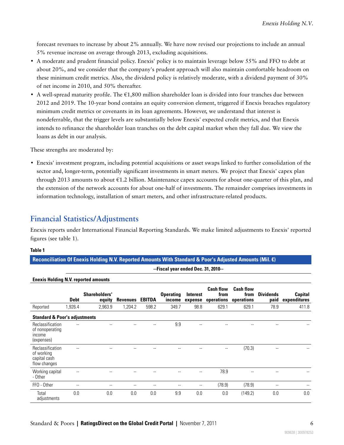forecast revenues to increase by about 2% annually. We have now revised our projections to include an annual 5% revenue increase on average through 2013, excluding acquisitions.

- A moderate and prudent financial policy. Enexis' policy is to maintain leverage below 55% and FFO to debt at about 20%, and we consider that the company's prudent approach will also maintain comfortable headroom on these minimum credit metrics. Also, the dividend policy is relatively moderate, with a dividend payment of 30% of net income in 2010, and 50% thereafter.
- A well-spread maturity profile. The  $\epsilon$ 1,800 million shareholder loan is divided into four tranches due between 2012 and 2019. The 10-year bond contains an equity conversion element, triggered if Enexis breaches regulatory minimum credit metrics or covenants in its loan agreements. However, we understand that interest is nondeferrable, that the trigger levels are substantially below Enexis' expected credit metrics, and that Enexis intends to refinance the shareholder loan tranches on the debt capital market when they fall due. We view the loans as debt in our analysis.

These strengths are moderated by:

• Enexis' investment program, including potential acquisitions or asset swaps linked to further consolidation of the sector and, longer-term, potentially significant investments in smart meters. We project that Enexis' capex plan through 2013 amounts to about  $\epsilon$ 1.2 billion. Maintenance capex accounts for about one-quarter of this plan, and the extension of the network accounts for about one-half of investments. The remainder comprises investments in information technology, installation of smart meters, and other infrastructure-related products.

## <span id="page-5-0"></span>**Financial Statistics/Adjustments**

Enexis reports under International Financial Reporting Standards. We make limited adjustments to Enexis' reported figures (see table 1).

#### **Table 1**

**Reconciliation Of Enexis Holding N.V. Reported Amounts With Standard & Poor's Adjusted Amounts (Mil. €)**

| --Fiscal year ended Dec. 31, 2010-- |  |  |  |
|-------------------------------------|--|--|--|

| enoxio noramg rere: roportoa amoanto                           |                   |                          |                 |       |                            |                            |                                        |                                        |                          |                                |
|----------------------------------------------------------------|-------------------|--------------------------|-----------------|-------|----------------------------|----------------------------|----------------------------------------|----------------------------------------|--------------------------|--------------------------------|
|                                                                | <b>Debt</b>       | Shareholders'<br>equity  | Revenues EBITDA |       | <b>Operating</b><br>income | <b>Interest</b><br>expense | <b>Cash flow</b><br>from<br>operations | <b>Cash flow</b><br>from<br>operations | <b>Dividends</b><br>paid | <b>Capital</b><br>expenditures |
| Reported                                                       | 1,926.4           | 2,963.9                  | 1,204.2         | 598.2 | 349.7                      | 98.8                       | 629.1                                  | 629.1                                  | 78.9                     | 411.8                          |
| <b>Standard &amp; Poor's adjustments</b>                       |                   |                          |                 |       |                            |                            |                                        |                                        |                          |                                |
| Reclassification<br>of nonoperating<br>income<br>(expenses)    | $-$               |                          |                 |       | 9.9                        |                            |                                        |                                        |                          |                                |
| Reclassification<br>of working<br>capital cash<br>flow changes | --                |                          |                 |       |                            |                            | --                                     | (70.3)                                 | --                       |                                |
| Working capital<br>- Other                                     | $\qquad \qquad -$ |                          |                 |       |                            | --                         | 78.9                                   |                                        |                          |                                |
| FFO - Other                                                    | $-$               | $\overline{\phantom{a}}$ |                 | --    | --                         | $\overline{\phantom{a}}$   | (78.9)                                 | (78.9)                                 | $\overline{\phantom{a}}$ | $-$                            |
| Total<br>adjustments                                           | 0.0               | 0.0                      | 0.0             | 0.0   | 9.9                        | 0.0                        | 0.0                                    | (149.2)                                | 0.0                      | 0.0                            |

#### **Enexis Holding N.V. reported amounts**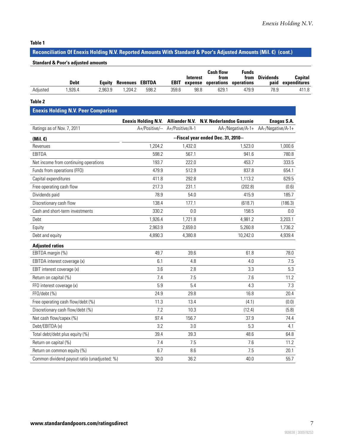#### **Table 1**

## **Reconciliation Of Enexis Holding N.V. Reported Amounts With Standard & Poor's Adjusted Amounts (Mil. €) (cont.)**

|          | <b>Debt</b> | Eauitv  | Revenues | EBITDA | <b>EBIT</b> | Interest<br>expense | <b>Cash flow</b><br>trom<br>operations | Funds<br>from<br>operations | <b>Dividends</b><br>paid | Capital<br>expenditures |
|----------|-------------|---------|----------|--------|-------------|---------------------|----------------------------------------|-----------------------------|--------------------------|-------------------------|
| Adiusted | .926.4      | 2.963.9 | .204.2   | 598.2  | 359.6       | 98.8                | 629.                                   | 479.9                       | 78.9                     | 411.8                   |

#### **Table 2**

## **Enexis Holding N.V. Peer Comparison**

|                                              |         |                                | Enexis Holding N.V. Alliander N.V. N.V. Nederlandse Gasunie | Enagas S.A.                         |
|----------------------------------------------|---------|--------------------------------|-------------------------------------------------------------|-------------------------------------|
| Ratings as of Nov. 7, 2011                   |         | A+/Positive/-- A+/Positive/A-1 |                                                             | AA-/Negative/A-1+ AA-/Negative/A-1+ |
| (Mil. $\epsilon$ )                           |         |                                | --Fiscal year ended Dec. 31, 2010--                         |                                     |
| Revenues                                     | 1,204.2 | 1,432.0                        | 1,523.0                                                     | 1,000.6                             |
| EBITDA                                       | 598.2   | 567.1                          | 941.6                                                       | 780.8                               |
| Net income from continuing operations        | 193.7   | 222.0                          | 453.7                                                       | 333.5                               |
| Funds from operations (FFO)                  | 479.9   | 512.9                          | 837.8                                                       | 654.1                               |
| Capital expenditures                         | 411.8   | 292.8                          | 1,113.2                                                     | 629.5                               |
| Free operating cash flow                     | 217.3   | 231.1                          | (202.8)                                                     | (0.6)                               |
| Dividends paid                               | 78.9    | 54.0                           | 415.9                                                       | 185.7                               |
| Discretionary cash flow                      | 138.4   | 177.1                          | (618.7)                                                     | (186.3)                             |
| Cash and short-term investments              | 330.2   | 0.0                            | 158.5                                                       | 0.0                                 |
| Debt                                         | 1,926.4 | 1,721.8                        | 4,981.2                                                     | 3,203.1                             |
| Equity                                       | 2,963.9 | 2,659.0                        | 5,260.8                                                     | 1,736.2                             |
| Debt and equity                              | 4,890.3 | 4,380.8                        | 10,242.0                                                    | 4,939.4                             |
| <b>Adjusted ratios</b>                       |         |                                |                                                             |                                     |
| EBITDA margin (%)                            | 49.7    | 39.6                           | 61.8                                                        | 78.0                                |
| EBITDA interest coverage (x)                 | 6.1     | 4.8                            | 4.0                                                         | 7.5                                 |
| EBIT interest coverage (x)                   | 3.6     | 2.8                            | 3.3                                                         | 5.3                                 |
| Return on capital (%)                        | 7.4     | 7.5                            | 7.6                                                         | 11.2                                |
| FFO interest coverage (x)                    | 5.9     | 5.4                            | 4.3                                                         | 7.3                                 |
| FFO/debt (%)                                 | 24.9    | 29.8                           | 16.8                                                        | 20.4                                |
| Free operating cash flow/debt (%)            | 11.3    | 13.4                           | (4.1)                                                       | (0.0)                               |
| Discretionary cash flow/debt (%)             | 7.2     | 10.3                           | (12.4)                                                      | (5.8)                               |
| Net cash flow/capex (%)                      | 97.4    | 156.7                          | 37.9                                                        | 74.4                                |
| Debt/EBITDA (x)                              | 3.2     | 3.0                            | 5.3                                                         | 4.1                                 |
| Total debt/debt plus equity (%)              | 39.4    | 39.3                           | 48.6                                                        | 64.8                                |
| Return on capital (%)                        | 7.4     | 7.5                            | 7.6                                                         | 11.2                                |
| Return on common equity (%)                  | 6.7     | 8.6                            | 7.5                                                         | 20.1                                |
| Common dividend payout ratio (unadjusted; %) | 30.0    | 36.2                           | 40.0                                                        | 55.7                                |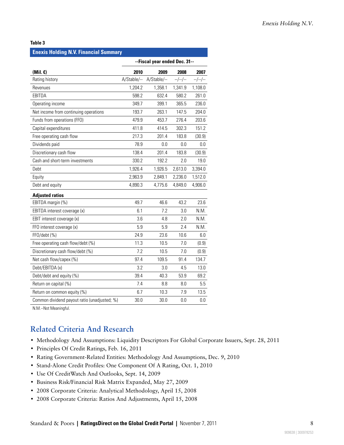#### **Table 3**

#### **Enexis Holding N.V. Financial Summary**

|                                              | --Fiscal year ended Dec. 31-- |             |         |         |  |
|----------------------------------------------|-------------------------------|-------------|---------|---------|--|
| $(Mil. \varepsilon)$                         | 2010                          | 2009        | 2008    | 2007    |  |
| Rating history                               | A/Stable/--                   | A/Stable/-- | $-/-/-$ | $-/-/-$ |  |
| Revenues                                     | 1.204.2                       | 1,358.1     | 1,341.9 | 1,108.0 |  |
| EBITDA                                       | 598.2                         | 632.4       | 580.2   | 261.0   |  |
| Operating income                             | 349.7                         | 399.1       | 365.5   | 236.0   |  |
| Net income from continuing operations        | 193.7                         | 263.1       | 147.5   | 204.0   |  |
| Funds from operations (FFO)                  | 479.9                         | 453.7       | 276.4   | 203.6   |  |
| Capital expenditures                         | 411.8                         | 414.5       | 302.3   | 151.2   |  |
| Free operating cash flow                     | 217.3                         | 201.4       | 183.8   | (30.9)  |  |
| Dividends paid                               | 78.9                          | 0.0         | 0.0     | 0.0     |  |
| Discretionary cash flow                      | 138.4                         | 201.4       | 183.8   | (30.9)  |  |
| Cash and short-term investments              | 330.2                         | 192.2       | 2.0     | 19.0    |  |
| Debt                                         | 1,926.4                       | 1,926.5     | 2,613.0 | 3,394.0 |  |
| Equity                                       | 2,963.9                       | 2,849.1     | 2,236.0 | 1,512.0 |  |
| Debt and equity                              | 4,890.3                       | 4,775.6     | 4,849.0 | 4,906.0 |  |
| <b>Adjusted ratios</b>                       |                               |             |         |         |  |
| EBITDA margin (%)                            | 49.7                          | 46.6        | 43.2    | 23.6    |  |
| EBITDA interest coverage (x)                 | 6.1                           | 7.2         | 3.0     | N.M.    |  |
| EBIT interest coverage (x)                   | 3.6                           | 4.8         | 2.0     | N.M.    |  |
| FFO interest coverage (x)                    | 5.9                           | 5.9         | 2.4     | N.M.    |  |
| FFO/debt (%)                                 | 24.9                          | 23.6        | 10.6    | 6.0     |  |
| Free operating cash flow/debt (%)            | 11.3                          | 10.5        | 7.0     | (0.9)   |  |
| Discretionary cash flow/debt (%)             | 7.2                           | 10.5        | 7.0     | (0.9)   |  |
| Net cash flow/capex (%)                      | 97.4                          | 109.5       | 91.4    | 134.7   |  |
| Debt/EBITDA (x)                              | 3.2                           | 3.0         | 4.5     | 13.0    |  |
| Debt/debt and equity (%)                     | 39.4                          | 40.3        | 53.9    | 69.2    |  |
| Return on capital (%)                        | 7.4                           | 8.8         | 8.0     | 5.5     |  |
| Return on common equity (%)                  | 6.7                           | 10.3        | 7.9     | 13.5    |  |
| Common dividend payout ratio (unadjusted; %) | 30.0                          | 30.0        | 0.0     | 0.0     |  |

<span id="page-7-0"></span>N.M.--Not Meaningful.

## **Related Criteria And Research**

- Methodology And Assumptions: Liquidity Descriptors For Global Corporate Issuers, Sept. 28, 2011
- Principles Of Credit Ratings, Feb. 16, 2011
- Rating Government-Related Entities: Methodology And Assumptions, Dec. 9, 2010
- Stand-Alone Credit Profiles: One Component Of A Rating, Oct. 1, 2010
- Use Of CreditWatch And Outlooks, Sept. 14, 2009
- Business Risk/Financial Risk Matrix Expanded, May 27, 2009
- 2008 Corporate Criteria: Analytical Methodology, April 15, 2008
- 2008 Corporate Criteria: Ratios And Adjustments, April 15, 2008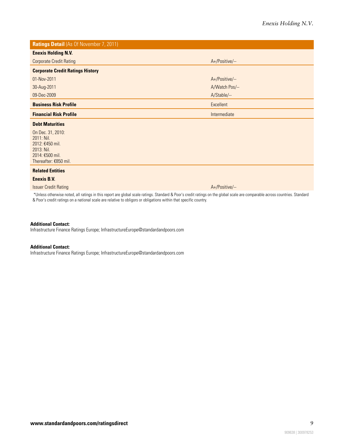**Ratings Detail** (As Of November 7, 2011) **Enexis Holding N.V.** Corporate Credit Rating A+/Positive/--**Corporate Credit Ratings History** 01-Nov-2011 A+/Positive/-- 30-Aug-2011 A/Watch Pos/-- 09-Dec-2009 A/Stable/-- **Business Risk Profile** Excellent **Excellent Financial Risk Profile Intermediate Intermediate Intermediate Intermediate Debt Maturities** On Dec. 31, 2010: 2011: Nil. 2012: €450 mil. 2013: Nil. 2014: €500 mil. Thereafter: €850 mil. **Related Entities Enexis B.V. Issuer Credit Rating Attack Attack Attack Attack Attack Attack Attack Attack Attack Attack Attack Attack Attack** 

\*Unless otherwise noted, all ratings in this report are global scale ratings. Standard & Poor's credit ratings on the global scale are comparable across countries. Standard & Poor's credit ratings on a national scale are relative to obligors or obligations within that specific country.

#### **Additional Contact:**

Infrastructure Finance Ratings Europe; InfrastructureEurope@standardandpoors.com

#### **Additional Contact:**

Infrastructure Finance Ratings Europe; InfrastructureEurope@standardandpoors.com